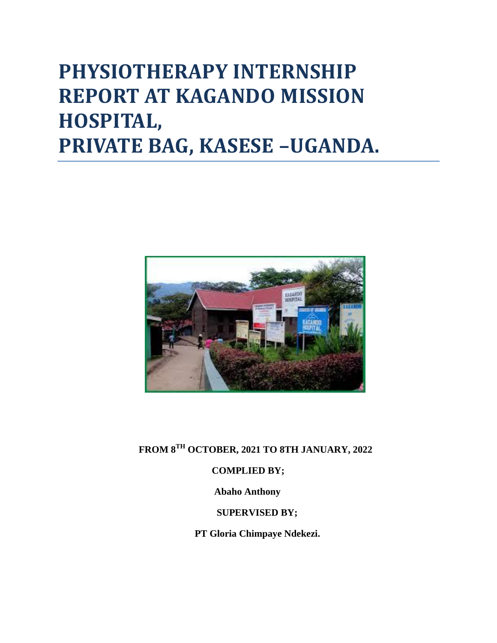# **PHYSIOTHERAPY INTERNSHIP REPORT AT KAGANDO MISSION HOSPITAL, PRIVATE BAG, KASESE –UGANDA.**



 **FROM 8TH OCTOBER, 2021 TO 8TH JANUARY, 2022**

#### **COMPLIED BY;**

 **Abaho Anthony**

## **SUPERVISED BY;**

 **PT Gloria Chimpaye Ndekezi.**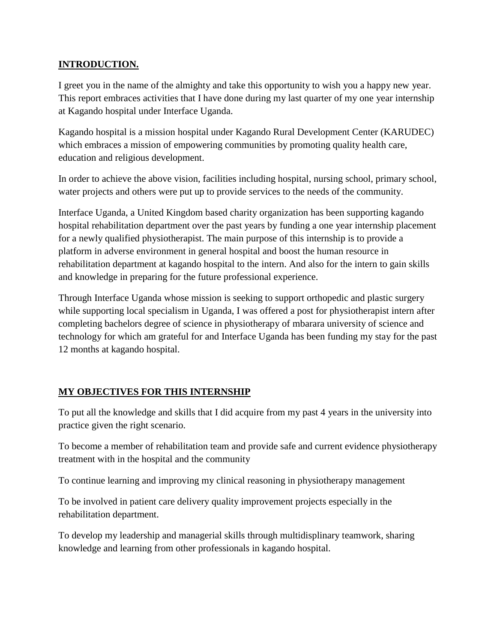#### **INTRODUCTION.**

I greet you in the name of the almighty and take this opportunity to wish you a happy new year. This report embraces activities that I have done during my last quarter of my one year internship at Kagando hospital under Interface Uganda.

Kagando hospital is a mission hospital under Kagando Rural Development Center (KARUDEC) which embraces a mission of empowering communities by promoting quality health care, education and religious development.

In order to achieve the above vision, facilities including hospital, nursing school, primary school, water projects and others were put up to provide services to the needs of the community.

Interface Uganda, a United Kingdom based charity organization has been supporting kagando hospital rehabilitation department over the past years by funding a one year internship placement for a newly qualified physiotherapist. The main purpose of this internship is to provide a platform in adverse environment in general hospital and boost the human resource in rehabilitation department at kagando hospital to the intern. And also for the intern to gain skills and knowledge in preparing for the future professional experience.

Through Interface Uganda whose mission is seeking to support orthopedic and plastic surgery while supporting local specialism in Uganda, I was offered a post for physiotherapist intern after completing bachelors degree of science in physiotherapy of mbarara university of science and technology for which am grateful for and Interface Uganda has been funding my stay for the past 12 months at kagando hospital.

## **MY OBJECTIVES FOR THIS INTERNSHIP**

To put all the knowledge and skills that I did acquire from my past 4 years in the university into practice given the right scenario.

To become a member of rehabilitation team and provide safe and current evidence physiotherapy treatment with in the hospital and the community

To continue learning and improving my clinical reasoning in physiotherapy management

To be involved in patient care delivery quality improvement projects especially in the rehabilitation department.

To develop my leadership and managerial skills through multidisplinary teamwork, sharing knowledge and learning from other professionals in kagando hospital.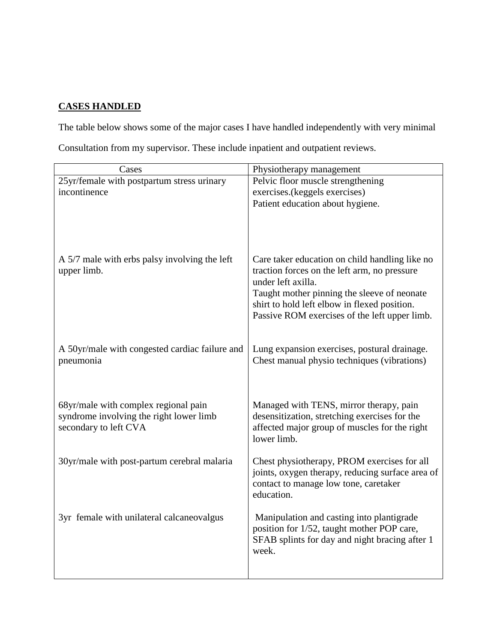#### **CASES HANDLED**

The table below shows some of the major cases I have handled independently with very minimal

Consultation from my supervisor. These include inpatient and outpatient reviews.

| Cases                                                                                                    | Physiotherapy management                                                                                                                                                                                                                                             |
|----------------------------------------------------------------------------------------------------------|----------------------------------------------------------------------------------------------------------------------------------------------------------------------------------------------------------------------------------------------------------------------|
| 25yr/female with postpartum stress urinary                                                               | Pelvic floor muscle strengthening                                                                                                                                                                                                                                    |
| incontinence                                                                                             | exercises.(keggels exercises)                                                                                                                                                                                                                                        |
|                                                                                                          | Patient education about hygiene.                                                                                                                                                                                                                                     |
| A 5/7 male with erbs palsy involving the left<br>upper limb.                                             | Care taker education on child handling like no<br>traction forces on the left arm, no pressure<br>under left axilla.<br>Taught mother pinning the sleeve of neonate<br>shirt to hold left elbow in flexed position.<br>Passive ROM exercises of the left upper limb. |
| A 50yr/male with congested cardiac failure and<br>pneumonia                                              | Lung expansion exercises, postural drainage.<br>Chest manual physio techniques (vibrations)                                                                                                                                                                          |
| 68yr/male with complex regional pain<br>syndrome involving the right lower limb<br>secondary to left CVA | Managed with TENS, mirror therapy, pain<br>desensitization, stretching exercises for the<br>affected major group of muscles for the right<br>lower limb.                                                                                                             |
| 30yr/male with post-partum cerebral malaria                                                              | Chest physiotherapy, PROM exercises for all<br>joints, oxygen therapy, reducing surface area of<br>contact to manage low tone, caretaker<br>education.                                                                                                               |
| 3yr female with unilateral calcaneovalgus                                                                | Manipulation and casting into plantigrade<br>position for 1/52, taught mother POP care,<br>SFAB splints for day and night bracing after 1<br>week.                                                                                                                   |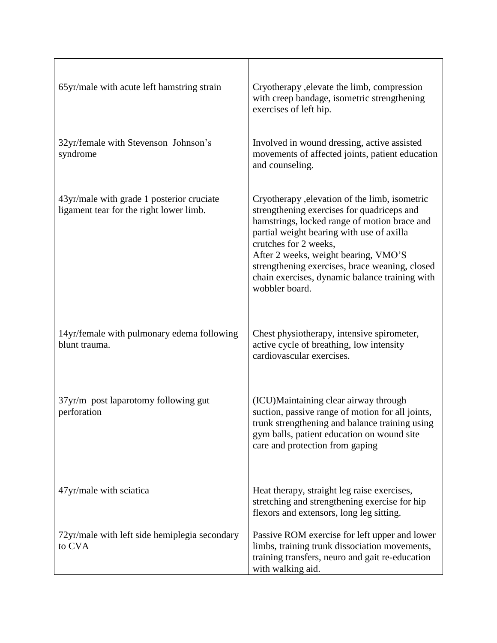| 65yr/male with acute left hamstring strain                                           | Cryotherapy , elevate the limb, compression<br>with creep bandage, isometric strengthening<br>exercises of left hip.                                                                                                                                                                                                                                                             |
|--------------------------------------------------------------------------------------|----------------------------------------------------------------------------------------------------------------------------------------------------------------------------------------------------------------------------------------------------------------------------------------------------------------------------------------------------------------------------------|
| 32yr/female with Stevenson Johnson's<br>syndrome                                     | Involved in wound dressing, active assisted<br>movements of affected joints, patient education<br>and counseling.                                                                                                                                                                                                                                                                |
| 43yr/male with grade 1 posterior cruciate<br>ligament tear for the right lower limb. | Cryotherapy , elevation of the limb, isometric<br>strengthening exercises for quadriceps and<br>hamstrings, locked range of motion brace and<br>partial weight bearing with use of axilla<br>crutches for 2 weeks,<br>After 2 weeks, weight bearing, VMO'S<br>strengthening exercises, brace weaning, closed<br>chain exercises, dynamic balance training with<br>wobbler board. |
| 14yr/female with pulmonary edema following<br>blunt trauma.                          | Chest physiotherapy, intensive spirometer,<br>active cycle of breathing, low intensity<br>cardiovascular exercises.                                                                                                                                                                                                                                                              |
| 37yr/m post laparotomy following gut<br>perforation                                  | (ICU)Maintaining clear airway through<br>suction, passive range of motion for all joints,<br>trunk strengthening and balance training using<br>gym balls, patient education on wound site<br>care and protection from gaping                                                                                                                                                     |
| 47yr/male with sciatica                                                              | Heat therapy, straight leg raise exercises,<br>stretching and strengthening exercise for hip<br>flexors and extensors, long leg sitting.                                                                                                                                                                                                                                         |
| 72yr/male with left side hemiplegia secondary<br>to CVA                              | Passive ROM exercise for left upper and lower<br>limbs, training trunk dissociation movements,<br>training transfers, neuro and gait re-education<br>with walking aid.                                                                                                                                                                                                           |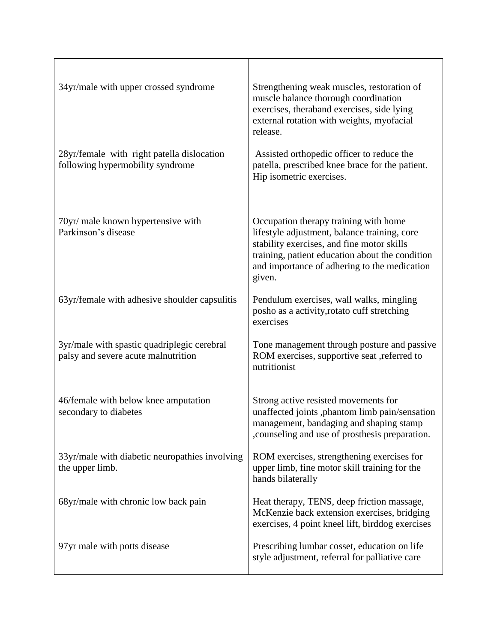| 34yr/male with upper crossed syndrome                                              | Strengthening weak muscles, restoration of<br>muscle balance thorough coordination<br>exercises, theraband exercises, side lying<br>external rotation with weights, myofacial<br>release.                                                        |
|------------------------------------------------------------------------------------|--------------------------------------------------------------------------------------------------------------------------------------------------------------------------------------------------------------------------------------------------|
| 28yr/female with right patella dislocation<br>following hypermobility syndrome     | Assisted orthopedic officer to reduce the<br>patella, prescribed knee brace for the patient.<br>Hip isometric exercises.                                                                                                                         |
| 70yr/ male known hypertensive with<br>Parkinson's disease                          | Occupation therapy training with home<br>lifestyle adjustment, balance training, core<br>stability exercises, and fine motor skills<br>training, patient education about the condition<br>and importance of adhering to the medication<br>given. |
| 63yr/female with adhesive shoulder capsulitis                                      | Pendulum exercises, wall walks, mingling<br>posho as a activity, rotato cuff stretching<br>exercises                                                                                                                                             |
| 3yr/male with spastic quadriplegic cerebral<br>palsy and severe acute malnutrition | Tone management through posture and passive<br>ROM exercises, supportive seat , referred to<br>nutritionist                                                                                                                                      |
| 46/female with below knee amputation<br>secondary to diabetes                      | Strong active resisted movements for<br>unaffected joints ,phantom limb pain/sensation<br>management, bandaging and shaping stamp<br>, counseling and use of prosthesis preparation.                                                             |
| 33yr/male with diabetic neuropathies involving<br>the upper limb.                  | ROM exercises, strengthening exercises for<br>upper limb, fine motor skill training for the<br>hands bilaterally                                                                                                                                 |
| 68yr/male with chronic low back pain                                               | Heat therapy, TENS, deep friction massage,<br>McKenzie back extension exercises, bridging<br>exercises, 4 point kneel lift, birddog exercises                                                                                                    |
| 97yr male with potts disease                                                       | Prescribing lumbar cosset, education on life<br>style adjustment, referral for palliative care                                                                                                                                                   |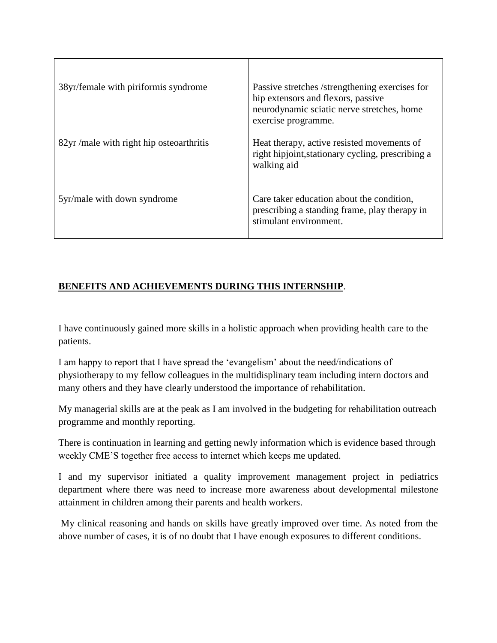| 38yr/female with piriformis syndrome    | Passive stretches /strengthening exercises for<br>hip extensors and flexors, passive<br>neurodynamic sciatic nerve stretches, home<br>exercise programme. |
|-----------------------------------------|-----------------------------------------------------------------------------------------------------------------------------------------------------------|
| 82yr/male with right hip osteoarthritis | Heat therapy, active resisted movements of<br>right hipjoint, stationary cycling, prescribing a<br>walking aid                                            |
| 5yr/male with down syndrome             | Care taker education about the condition,<br>prescribing a standing frame, play therapy in<br>stimulant environment.                                      |

# **BENEFITS AND ACHIEVEMENTS DURING THIS INTERNSHIP**.

I have continuously gained more skills in a holistic approach when providing health care to the patients.

I am happy to report that I have spread the 'evangelism' about the need/indications of physiotherapy to my fellow colleagues in the multidisplinary team including intern doctors and many others and they have clearly understood the importance of rehabilitation.

My managerial skills are at the peak as I am involved in the budgeting for rehabilitation outreach programme and monthly reporting.

There is continuation in learning and getting newly information which is evidence based through weekly CME'S together free access to internet which keeps me updated.

I and my supervisor initiated a quality improvement management project in pediatrics department where there was need to increase more awareness about developmental milestone attainment in children among their parents and health workers.

My clinical reasoning and hands on skills have greatly improved over time. As noted from the above number of cases, it is of no doubt that I have enough exposures to different conditions.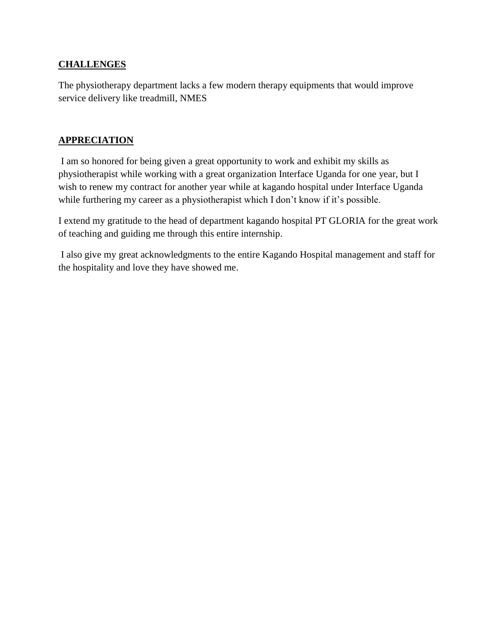#### **CHALLENGES**

The physiotherapy department lacks a few modern therapy equipments that would improve service delivery like treadmill, NMES

#### **APPRECIATION**

I am so honored for being given a great opportunity to work and exhibit my skills as physiotherapist while working with a great organization Interface Uganda for one year, but I wish to renew my contract for another year while at kagando hospital under Interface Uganda while furthering my career as a physiotherapist which I don't know if it's possible.

I extend my gratitude to the head of department kagando hospital PT GLORIA for the great work of teaching and guiding me through this entire internship.

I also give my great acknowledgments to the entire Kagando Hospital management and staff for the hospitality and love they have showed me.